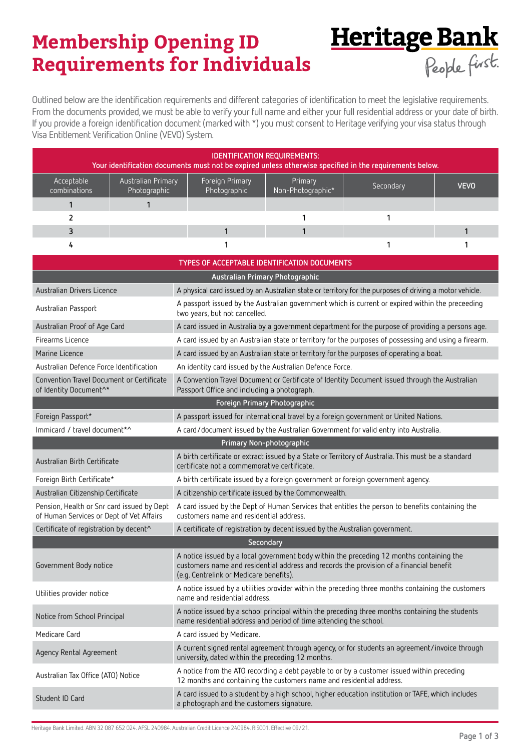# **Membership Opening ID Requirements for Individuals**

Outlined below are the identification requirements and different categories of identification to meet the legislative requirements. From the documents provided, we must be able to verify your full name and either your full residential address or your date of birth. If you provide a foreign identification document (marked with \*) you must consent to Heritage verifying your visa status through Visa Entitlement Verification Online (VEVO) System.

Heritage Bank

| <b>IDENTIFICATION REQUIREMENTS:</b><br>Your identification documents must not be expired unless otherwise specified in the requirements below. |                                    |                                 |                              |           |             |  |
|------------------------------------------------------------------------------------------------------------------------------------------------|------------------------------------|---------------------------------|------------------------------|-----------|-------------|--|
| Acceptable<br>combinations                                                                                                                     | Australian Primary<br>Photographic | Foreign Primary<br>Photographic | Primary<br>Non-Photographic* | Secondary | <b>VEVO</b> |  |
|                                                                                                                                                |                                    |                                 |                              |           |             |  |
|                                                                                                                                                |                                    |                                 |                              |           |             |  |
|                                                                                                                                                |                                    |                                 |                              |           |             |  |
|                                                                                                                                                |                                    |                                 |                              |           |             |  |

| TYPES OF ACCEPTABLE IDENTIFICATION DOCUMENTS                                           |                                                                                                                                                                                                                                |  |  |  |  |
|----------------------------------------------------------------------------------------|--------------------------------------------------------------------------------------------------------------------------------------------------------------------------------------------------------------------------------|--|--|--|--|
|                                                                                        | Australian Primary Photographic                                                                                                                                                                                                |  |  |  |  |
| Australian Drivers Licence                                                             | A physical card issued by an Australian state or territory for the purposes of driving a motor vehicle.                                                                                                                        |  |  |  |  |
| Australian Passport                                                                    | A passport issued by the Australian government which is current or expired within the preceeding<br>two years, but not cancelled.                                                                                              |  |  |  |  |
| Australian Proof of Age Card                                                           | A card issued in Australia by a government department for the purpose of providing a persons age.                                                                                                                              |  |  |  |  |
| Firearms Licence                                                                       | A card issued by an Australian state or territory for the purposes of possessing and using a firearm.                                                                                                                          |  |  |  |  |
| Marine Licence                                                                         | A card issued by an Australian state or territory for the purposes of operating a boat.                                                                                                                                        |  |  |  |  |
| Australian Defence Force Identification                                                | An identity card issued by the Australian Defence Force.                                                                                                                                                                       |  |  |  |  |
| Convention Travel Document or Certificate<br>of Identity Document <sup>^*</sup>        | A Convention Travel Document or Certificate of Identity Document issued through the Australian<br>Passport Office and including a photograph.                                                                                  |  |  |  |  |
|                                                                                        | Foreign Primary Photographic                                                                                                                                                                                                   |  |  |  |  |
| Foreign Passport*                                                                      | A passport issued for international travel by a foreign government or United Nations.                                                                                                                                          |  |  |  |  |
| Immicard / travel document*^                                                           | A card/document issued by the Australian Government for valid entry into Australia.                                                                                                                                            |  |  |  |  |
| Primary Non-photographic                                                               |                                                                                                                                                                                                                                |  |  |  |  |
| Australian Birth Certificate                                                           | A birth certificate or extract issued by a State or Territory of Australia. This must be a standard<br>certificate not a commemorative certificate.                                                                            |  |  |  |  |
| Foreign Birth Certificate*                                                             | A birth certificate issued by a foreign government or foreign government agency.                                                                                                                                               |  |  |  |  |
| Australian Citizenship Certificate                                                     | A citizenship certificate issued by the Commonwealth.                                                                                                                                                                          |  |  |  |  |
| Pension, Health or Snr card issued by Dept<br>of Human Services or Dept of Vet Affairs | A card issued by the Dept of Human Services that entitles the person to benefits containing the<br>customers name and residential address.                                                                                     |  |  |  |  |
| Certificate of registration by decent^                                                 | A certificate of registration by decent issued by the Australian government.                                                                                                                                                   |  |  |  |  |
| Secondary                                                                              |                                                                                                                                                                                                                                |  |  |  |  |
| Government Body notice                                                                 | A notice issued by a local government body within the preceding 12 months containing the<br>customers name and residential address and records the provision of a financial benefit<br>(e.g. Centrelink or Medicare benefits). |  |  |  |  |
| Utilities provider notice                                                              | A notice issued by a utilities provider within the preceding three months containing the customers<br>name and residential address.                                                                                            |  |  |  |  |
| Notice from School Principal                                                           | A notice issued by a school principal within the preceding three months containing the students<br>name residential address and period of time attending the school.                                                           |  |  |  |  |
| Medicare Card                                                                          | A card issued by Medicare.                                                                                                                                                                                                     |  |  |  |  |
| Agency Rental Agreement                                                                | A current signed rental agreement through agency, or for students an agreement/invoice through<br>university, dated within the preceding 12 months.                                                                            |  |  |  |  |
| Australian Tax Office (ATO) Notice                                                     | A notice from the ATO recording a debt payable to or by a customer issued within preceding<br>12 months and containing the customers name and residential address.                                                             |  |  |  |  |
| Student ID Card                                                                        | A card issued to a student by a high school, higher education institution or TAFE, which includes<br>a photograph and the customers signature.                                                                                 |  |  |  |  |
|                                                                                        |                                                                                                                                                                                                                                |  |  |  |  |

Heritage Bank Limited. ABN 32 087 652 024. AFSL 240984. Australian Credit Licence 240984. RIS001. Effective 09/21.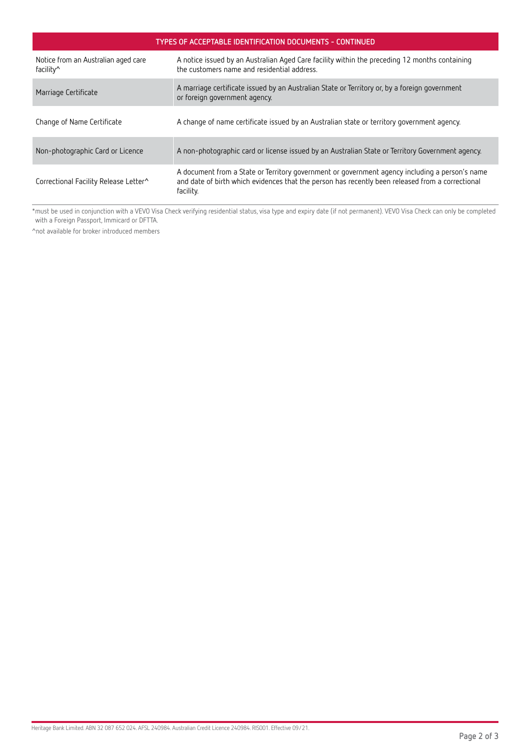| TYPES OF ACCEPTABLE IDENTIFICATION DOCUMENTS - CONTINUED |                                                                                                                                                                                                                 |  |  |  |
|----------------------------------------------------------|-----------------------------------------------------------------------------------------------------------------------------------------------------------------------------------------------------------------|--|--|--|
| Notice from an Australian aged care<br>facility^         | A notice issued by an Australian Aged Care facility within the preceding 12 months containing<br>the customers name and residential address.                                                                    |  |  |  |
| Marriage Certificate                                     | A marriage certificate issued by an Australian State or Territory or, by a foreign government<br>or foreign government agency.                                                                                  |  |  |  |
| Change of Name Certificate                               | A change of name certificate issued by an Australian state or territory government agency.                                                                                                                      |  |  |  |
| Non-photographic Card or Licence                         | A non-photographic card or license issued by an Australian State or Territory Government agency.                                                                                                                |  |  |  |
| Correctional Facility Release Letter <sup>^</sup>        | A document from a State or Territory government or government agency including a person's name<br>and date of birth which evidences that the person has recently been released from a correctional<br>facility. |  |  |  |

\*must be used in conjunction with a VEVO Visa Check verifying residential status, visa type and expiry date (if not permanent). VEVO Visa Check can only be completed with a Foreign Passport, Immicard or DFTTA.

^not available for broker introduced members